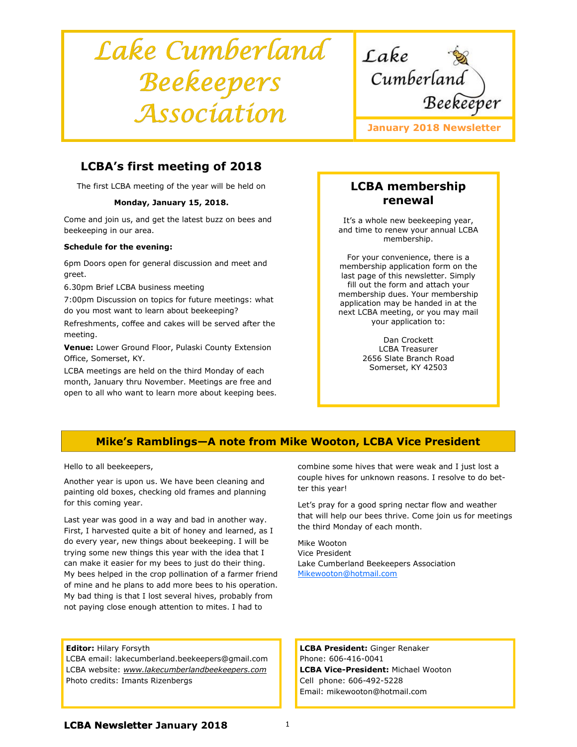# Lake Cumberland Beekeepers Association



# LCBA's first meeting of 2018

The first LCBA meeting of the year will be held on

#### Monday, January 15, 2018.

Come and join us, and get the latest buzz on bees and beekeeping in our area.

#### Schedule for the evening:

6pm Doors open for general discussion and meet and greet.

6.30pm Brief LCBA business meeting

7:00pm Discussion on topics for future meetings: what do you most want to learn about beekeeping?

Refreshments, coffee and cakes will be served after the meeting.

Venue: Lower Ground Floor, Pulaski County Extension Office, Somerset, KY.

LCBA meetings are held on the third Monday of each month, January thru November. Meetings are free and open to all who want to learn more about keeping bees.

# LCBA membership renewal

It's a whole new beekeeping year, and time to renew your annual LCBA membership.

For your convenience, there is a membership application form on the last page of this newsletter. Simply fill out the form and attach your membership dues. Your membership application may be handed in at the next LCBA meeting, or you may mail your application to:

> Dan Crockett LCBA Treasurer 2656 Slate Branch Road Somerset, KY 42503

# Mike's Ramblings—A note from Mike Wooton, LCBA Vice President

Hello to all beekeepers,

Another year is upon us. We have been cleaning and painting old boxes, checking old frames and planning for this coming year.

Last year was good in a way and bad in another way. First, I harvested quite a bit of honey and learned, as I do every year, new things about beekeeping. I will be trying some new things this year with the idea that I can make it easier for my bees to just do their thing. My bees helped in the crop pollination of a farmer friend of mine and he plans to add more bees to his operation. My bad thing is that I lost several hives, probably from not paying close enough attention to mites. I had to

#### Editor: Hilary Forsyth

LCBA email: lakecumberland.beekeepers@gmail.com LCBA website: www.lakecumberlandbeekeepers.com Photo credits: Imants Rizenbergs

combine some hives that were weak and I just lost a couple hives for unknown reasons. I resolve to do better this year!

Let's pray for a good spring nectar flow and weather that will help our bees thrive. Come join us for meetings the third Monday of each month.

Mike Wooton Vice President Lake Cumberland Beekeepers Association Mikewooton@hotmail.com

LCBA President: Ginger Renaker Phone: 606-416-0041 LCBA Vice-President: Michael Wooton Cell phone: 606-492-5228 Email: mikewooton@hotmail.com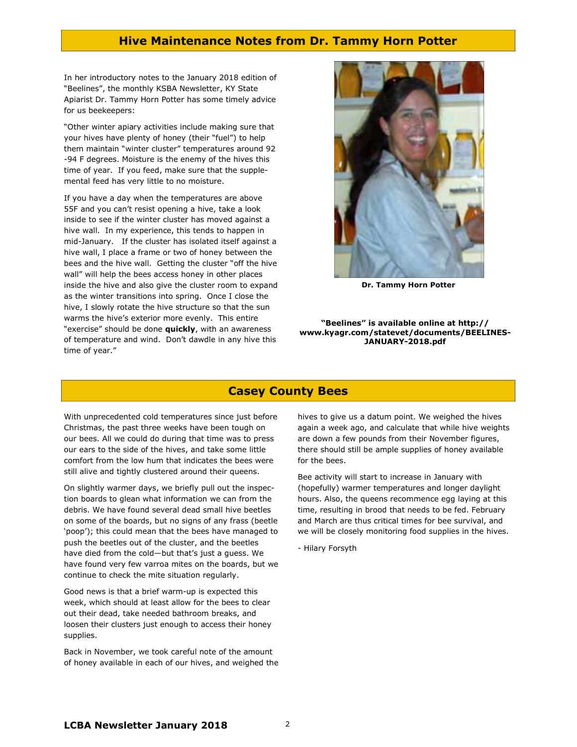### Hive Maintenance Notes from Dr. Tammy Horn Potter

In her introductory notes to the January 2018 edition of "Beelines", the monthly KSBA Newsletter, KY State Apiarist Dr. Tammy Horn Potter has some timely advice for us beekeepers:

"Other winter apiary activities include making sure that your hives have plenty of honey (their "fuel") to help them maintain "winter cluster" temperatures around 92 -94 F degrees. Moisture is the enemy of the hives this time of year. If you feed, make sure that the supplemental feed has very little to no moisture.

If you have a day when the temperatures are above 55F and you can't resist opening a hive, take a look inside to see if the winter cluster has moved against a hive wall. In my experience, this tends to happen in mid-January. If the cluster has isolated itself against a hive wall, I place a frame or two of honey between the bees and the hive wall. Getting the cluster "off the hive wall" will help the bees access honey in other places inside the hive and also give the cluster room to expand as the winter transitions into spring. Once I close the hive, I slowly rotate the hive structure so that the sun warms the hive's exterior more evenly. This entire "exercise" should be done **quickly**, with an awareness of temperature and wind. Don't dawdle in any hive this time of year."



Dr. Tammy Horn Potter

#### "Beelines" is available online at http:// www.kyagr.com/statevet/documents/BEELINES-JANUARY-2018.pdf

## Casey County Bees

With unprecedented cold temperatures since just before Christmas, the past three weeks have been tough on our bees. All we could do during that time was to press our ears to the side of the hives, and take some little comfort from the low hum that indicates the bees were still alive and tightly clustered around their queens.

On slightly warmer days, we briefly pull out the inspection boards to glean what information we can from the debris. We have found several dead small hive beetles on some of the boards, but no signs of any frass (beetle 'poop'); this could mean that the bees have managed to push the beetles out of the cluster, and the beetles have died from the cold—but that's just a guess. We have found very few varroa mites on the boards, but we continue to check the mite situation regularly.

Good news is that a brief warm-up is expected this week, which should at least allow for the bees to clear out their dead, take needed bathroom breaks, and loosen their clusters just enough to access their honey supplies.

Back in November, we took careful note of the amount of honey available in each of our hives, and weighed the hives to give us a datum point. We weighed the hives again a week ago, and calculate that while hive weights are down a few pounds from their November figures, there should still be ample supplies of honey available for the bees.

Bee activity will start to increase in January with (hopefully) warmer temperatures and longer daylight hours. Also, the queens recommence egg laying at this time, resulting in brood that needs to be fed. February and March are thus critical times for bee survival, and we will be closely monitoring food supplies in the hives.

- Hilary Forsyth